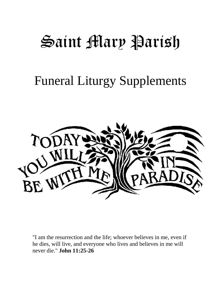# Saint Mary Parish

## Funeral Liturgy Supplements



"I am the resurrection and the life; whoever believes in me, even if he dies, will live, and everyone who lives and believes in me will never die." **John 11:25-26**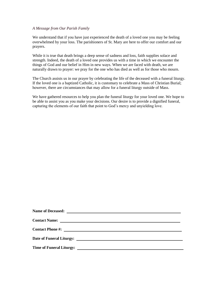#### *A Message from Our Parish Family*

We understand that if you have just experienced the death of a loved one you may be feeling overwhelmed by your loss. The parishioners of St. Mary are here to offer our comfort and our prayers.

While it is true that death brings a deep sense of sadness and loss, faith supplies solace and strength. Indeed, the death of a loved one provides us with a time in which we encounter the things of God and our belief in Him in new ways. When we are faced with death, we are naturally drawn to prayer: we pray for the one who has died as well as for those who mourn.

The Church assists us in our prayer by celebrating the life of the deceased with a funeral liturgy. If the loved one is a baptized Catholic, it is customary to celebrate a Mass of Christian Burial; however, there are circumstances that may allow for a funeral liturgy outside of Mass.

We have gathered resources to help you plan the funeral liturgy for your loved one. We hope to be able to assist you as you make your decisions. Our desire is to provide a dignified funeral, capturing the elements of our faith that point to God's mercy and unyielding love.

| <b>Name of Deceased:</b>        |  |
|---------------------------------|--|
| <b>Contact Name:</b>            |  |
| <b>Contact Phone #:</b>         |  |
| <b>Date of Funeral Liturgy:</b> |  |
| <b>Time of Funeral Liturgy:</b> |  |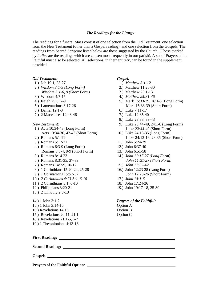#### *The Readings for the Liturgy*

The readings for a funeral Mass consist of one selection from the Old Testament, one selection from the New Testament (other than a Gospel reading), and one selection from the Gospels. The readings from Sacred Scripture listed below are those suggested by the Church. (Those marked by *italics* are the readings which are chosen most frequently in our parish). A set of Prayers ofthe Faithful must also be selected. All selections, in their entirety, can be found in the supplement provided.

#### *Old Testament: Gospel:*

- 1.) Job 19:1, 23-27 1.) *Matthew 5:1-12*
- 2.) *Wisdom 3:1-9 (Long Form)* 2.) Matthew 11:25-30 *Wisdom 3:1-6, 9 (Short Form)* 3.) Matthew 25:1-13
- 
- 
- 
- 6.) Daniel 12:1-3 6.) Luke 7:11-17
- 7.) 2 Maccabees 12:43-46 7.) Luke 12:35-40

#### *New Testament:*

- 1.) Acts 10:34-43 (Long Form) Acts 10:34-36, 42-43 (Short Form) 10.) Luke 24:13-35 (Long Form)
- 
- 3.) Romans 5:17-21 11.) John 5:24-29
- 4.) Romans 6:3-9 (Long Form) 12.) John 6:37-40 Romans 6:3-4, 8-9 (Short Form) 13.) John 6:51-58
- 
- 
- 7.) Romans 14:7-9, 10-12 15.) *John 11:32-42*
- 8.) 1 Corinthians 15:20-24, 25-28 16.) John 12:23-28 (Long Form)
- 
- 10.) *2 Corinthians 4:13-5:1, 6-10* 17.) *John 14:1-6*
- 11.) 2 Corinthians 5:1, 6-10 18.) John 17:24-26
- 12.) Philippians 3:20-21 19.) John 19:17-18, 25-30
- 13.) 2 Timothy 2:8-13
- 14.) 1 John 3:1-2
- 15.) 1 John 3:14-16
- 16.) Revelations 14:13
- 17.) Revelations 20:11, 21:1
- 18.) Revelations 21:1-5, 6-7
- 19.) 1 Thessalonians 4:13-18

- 
- 
- 
- 3.) Wisdom 4:7-15 4.) *Matthew 25:31-46*
- 4.) Isaiah 25:6, 7-9 5.) Mark 15:33-39, 16:1-6 (Long Form) 5.) Lamentations 3:17-26 Mark 15:33-39 (Short Form)
	-
	-
	- 8.) Luke 23:33, 39-43
	- 9.) Luke 23:44-49, 24:1-6 (Long Form) Luke 23:44-49 (Short Form)
- 2.) Romans 5:1-11 Luke 24:13-16, 28-35 (Short Form)
	-
	-
	-
- 5.) Romans 8:14-23 14.) *John 11:17-27 (Long Form)* 6.) Romans 8:31-35, 37-39 *John 11:21-27 (Short Form)*
	-
- 9.) *1 Corinthians 15:51-57* John 12:23-26 (Short Form)
	-
	-
	-
	- *Prayers of the Faithful:*

Option A Option B Option C

**First Reading:** 

**Second Reading:** 

**Gospel:** 

**Prayers of the Faithful Option:**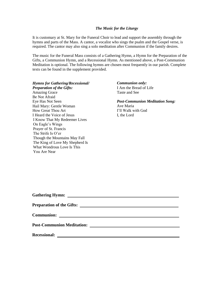#### *The Music for the Liturgy*

It is customary at St. Mary for the Funeral Choir to lead and support the assembly through the hymns and parts of the Mass. A cantor, a vocalist who sings the psalm and the Gospel verse, is required. The cantor may also sing a solo meditation after Communion if the family desires.

The music for the Funeral Mass consists of a Gathering Hymn, a Hymn for the Preparation of the Gifts, a Communion Hymn, and a Recessional Hymn. As mentioned above, a Post-Communion Meditation is optional. The following hymns are chosen most frequently in our parish. Complete texts can be found in the supplement provided.

*Hymns for Gathering/Recessional/ Preparation of the Gifts:* Amazing Grace Be Not Afraid Eye Has Not Seen Hail Mary: Gentle Woman How Great Thou Art I Heard the Voice of Jesus I Know That My Redeemer Lives On Eagle's Wings Prayer of St. Francis The Strife Is O'er Though the Mountains May Fall The King of Love My Shepherd Is What Wondrous Love Is This You Are Near

*Communion only:* I Am the Bread of Life Taste and See

*Post-Communion Meditation Song:* Ave Maria I'll Walk with God I, the Lord

| <b>Gathering Hymn:</b><br><u> 1989 - Andrea Andrew Maria (b. 1989)</u>                                                                   |
|------------------------------------------------------------------------------------------------------------------------------------------|
| <b>Preparation of the Gifts:</b>                                                                                                         |
| <b>Communion:</b><br>and the contract of the contract of the contract of the contract of the contract of the contract of the contract of |
| <b>Post-Communion Meditation:</b>                                                                                                        |
| <b>Recessional:</b>                                                                                                                      |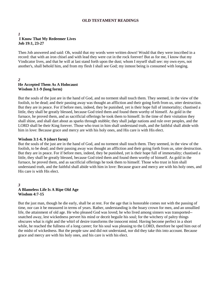#### **OLD TESTAMENT READINGS**

#### *1* **I Know That My Redeemer Lives Job 19:1, 23-27**

Then Job answered and said: Oh, would that my words were written down! Would that they were inscribed in a record: that with an iron chisel and with lead they were cut in the rock forever! But as for me, I know that my Vindicator lives, and that he will at last stand forth upon the dust; whom I myself shall see: my own eyes, not another's, shall behold him, and from my flesh I shall see God; my inmost being is consumed with longing.

#### *2* **He Accepted Them As A Holocaust Wisdom 3:1-9 (long form)**

But the souls of the just are in the hand of God, and no torment shall touch them. They seemed, in the view of the foolish, to be dead; and their passing away was thought an affliction and their going forth from us, utter destruction. But they are in peace. For if before men, indeed, they be punished, yet is their hope full of immortality; chastised a little, they shall be greatly blessed, because God tried them and found them worthy of himself. As gold in the furnace, he proved them, and as sacrificial offerings he took them to himself. In the time of their visitation they shall shine, and shall dart about as sparks through stubble; they shall judge nations and rule over peoples, and the LORD shall be their King forever. Those who trust in him shall understand truth, and the faithful shall abide with him in love: Because grace and mercy are with his holy ones, and His care is with His elect.

#### **Wisdom 3:1-6. 9 (short form)**

But the souls of the just are in the hand of God, and no torment shall touch them. They seemed, in the view of the foolish, to be dead; and their passing away was thought an affliction and their going forth from us, utter destruction. But they are in peace. For if before men, indeed, they be punished, yet is their hope full of immortality; chastised a little, they shall be greatly blessed, because God tried them and found them worthy of himself. As gold in the furnace, he proved them, and as sacrificial offerings he took them to himself. Those who trust in him shall understand truth, and the faithful shall abide with him in love: Because grace and mercy are with his holy ones, and His care is with His elect.

#### *3* **A Blameless Life Is A Ripe Old Age Wisdom 4:7-15**

But the just man, though he die early, shall be at rest. For the age that is honorable comes not with the passing of time, nor can it be measured in terms of years. Rather, understanding is the hoary crown for men, and an unsullied life, the attainment of old age. He who pleased God was loved; he who lived among sinners was transported- snatched away, lest wickedness pervert his mind or deceit beguile his soul; for the witchery of paltry things obscures what is right and the whirl of desire transforms the innocent mind. Having become perfect in a short while, he reached the fullness of a long career; for his soul was pleasing to the LORD, therefore he sped him out of the midst of wickedness. But the people saw and did not understand, nor did they take this into account. Because grace and mercy are with his holy ones, and his care is with his elect.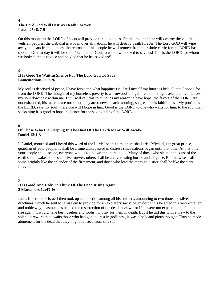#### *4* **The Lord God Will Destroy Death Forever Isaiah 25: 6. 7-9**

On this mountain the LORD of hosts will provide for all peoples. On this mountain he will destroy the veil that veils all peoples, the web that is woven over all nations; he will destroy death forever. The Lord GOD will wipe away the tears from all faces; the reproach of his people he will remove from the whole earth; for the LORD has spoken. On that day it will be said: "Behold our God, to whom we looked to save us! This is the LORD for whom we looked; let us rejoice and be glad that he has saved us!"

#### *5* **It Is Good To Wait In Silence For The Lord God To Save Lamentations 3:17-26**

My soul is deprived of peace, I have forgotten what happiness is; I tell myself my future is lost, all that I hoped for from the LORD. The thought of my homeless poverty is wormwood and gall; remembering it over and over leaves my soul downcast within me. But I will call this to mind, as my reason to have hope: the favors of the LORD are not exhausted, his mercies are not spent; they are renewed each morning, so great is his faithfulness. My portion is the LORD, says my soul; therefore will I hope in him. Good is the LORD to one who waits for him, to the soul that seeks him; it is good to hope in silence for the saving help of the LORD.

#### *6*

#### **Of Those Who Lie Sleeping In The Dust Of The Earth Many Will Awake Daniel 12:1-3**

I, Daniel, mourned and I heard this word of the Lord: "At that time there shall arise Michael, the great prince, guardian of your people; It shall be a time unsurpassed in distress since nations began until that time. At that time your people shall escape, everyone who is found written in the book. Many of those who sleep in the dust of the earth shall awake; some shall live forever, others shall be an everlasting horror and disgrace. But the wise shall shine brightly like the splendor of the firmament, and those who lead the many to justice shall be like the stars forever.

#### *7* **It Is Good And Holy To Think Of The Dead Rising Again 2 Maccabees 12:43-46**

Judas [the ruler of Israel] then took up a collection among all his soldiers, amounting to two thousand silver drachmas, which he sent to Jerusalem to provide for an expiatory sacrifice. In doing this he acted in a very excellent and noble way, inasmuch as he had the resurrection of the dead in view; for if he were not expecting the fallen to rise again, it would have been useless and foolish to pray for them in death. But if he did this with a view to the splendid reward that awaits those who had gone to rest in godliness, it was a holy and pious thought. Thus he made atonement for the dead that they might be freed from this sin.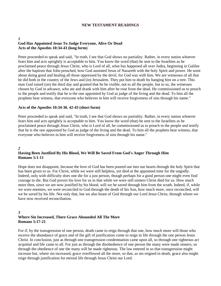#### **NEW TESTAMENT READINGS**

#### *1* **God Has Appointed Jesus To Judge Everyone, Alive Or Dead Acts of the Apostles 10:34-43 (long form)**

Peter proceeded to speak and said, "In truth, I see that God shows no partiality. Rather, in every nation whoever fears him and acts uprightly is acceptable to him. You know the word (that) he sent to the Israelites as he proclaimed peace through Jesus Christ, who is Lord of all, what has happened all over Judea, beginning in Galilee after the baptism that John preached, how God anointed Jesus of Nazareth with the holy Spirit and power. He went about doing good and healing all those oppressed by the devil, for God was with him. We are witnesses of all that he did both in the country of the Jews and (in) Jerusalem. They put him to death by hanging him on a tree. This man God raised (on) the third day and granted that he be visible, not to all the people, but to us, the witnesses chosen by God in advance, who ate and drank with him after he rose from the dead. He commissioned us to preach to the people and testify that he is the one appointed by God as judge of the living and the dead. To him all the prophets bear witness, that everyone who believes in him will receive forgiveness of sins through his name."

#### **Acts of the Apostles 10:34-36. 42-43 (short form)**

Peter proceeded to speak and said, "In truth, I see that God shows no partiality. Rather, in every nation whoever fears him and acts uprightly is acceptable to him. You know the word (that) he sent to the Israelites as he proclaimed peace through Jesus Christ, who is Lord of all, he commissioned us to preach to the people and testify that he is the one appointed by God as judge of the living and the dead. To him all the prophets bear witness, that everyone who believes in him will receive forgiveness of sins through his name."

#### *2*

#### **Having Been Justified By His Blood, We Will Be Saved From God's Anger Through Him Romans 5:1-11**

Hope does not disappoint, because the love of God has been poured out into our hearts through the holy Spirit that has been given to us. For Christ, while we were still helpless, yet died at the appointed time for the ungodly. Indeed, only with difficulty does one die for a just person, though perhaps for a good person one might even find courage to die. But God proves his love for us in that while we were still sinners Christ died for us. How much more then, since we are now justified by his blood, will we be saved through him from the wrath. Indeed, if, while we were enemies, we were reconciled to God through the death of his Son, how much more, once reconciled, will we be saved by his life. Not only that, but we also boast of God through our Lord Jesus Christ, through whom we have now received reconciliation.

#### *3* **Where Sin Increased, There Grace Abounded All The More Romans 5:17-21**

For if, by the transgression of one person, death came to reign through that one, how much more will those who receive the abundance of grace and of the gift of justification come to reign in life through the one person Jesus Christ. In conclusion, just as through one transgression condemnation came upon all, so through one righteous act acquittal and life came to all. For just as through the disobedience of one person the many were made sinners, so through the obedience of one the many will be made righteous. The law entered in so that transgression might increase but, where sin increased, grace overflowed all the more, so that, as sin reigned in death, grace also might reign through justification for eternal life through Jesus Christ our Lord.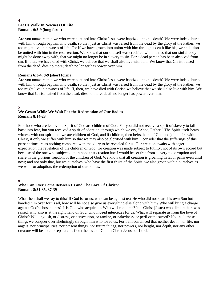#### *4* **Let Us Walk In Newness Of Life Romans 6:3-9 (long form)**

Are you unaware that we who were baptized into Christ Jesus were baptized into his death? We were indeed buried with him through baptism into death, so that, just as Christ was raised from the dead by the glory of the Father, we too might live in newness of life. For if we have grown into union with him through a death like his, we shall also be united with him in the resurrection. We know that our old self was crucified with him, so that our sinful body might be done away with, that we might no longer be in slavery to sin. For a dead person has been absolved from sin. If, then, we have died with Christ, we believe that we shall also live with him. We know that Christ, raised from the dead, dies no more; death no longer has power over him.

#### **Romans 6:3-4. 8-9 (short form)**

Are you unaware that we who were baptized into Christ Jesus were baptized into his death? We were indeed buried with him through baptism into death, so that, just as Christ was raised from the dead by the glory of the Father, we too might live in newness of life. If, then, we have died with Christ, we believe that we shall also live with him. We know that Christ, raised from the dead, dies no more; death no longer has power over him.

#### *5*

#### **We Groan While We Wait For the Redemption of Our Bodies Romans 8:14-23**

For those who are led by the Spirit of God are children of God. For you did not receive a spirit of slavery to fall back into fear, but you received a spirit of adoption, through which we cry, "Abba, Father!" The Spirit itself bears witness with our spirit that we are children of God, and if children, then heirs, heirs of God and joint heirs with Christ, if only we suffer with him so that we may also be glorified with him. I consider that the sufferings of this present time are as nothing compared with the glory to be revealed for us. For creation awaits with eager expectation the revelation of the children of God; for creation was made subject to futility, not of its own accord but because of the one who subjected it, in hope that creation itself would be set free from slavery to corruption and share in the glorious freedom of the children of God. We know that all creation is groaning in labor pains even until now; and not only that, but we ourselves, who have the first fruits of the Spirit, we also groan within ourselves as we wait for adoption, the redemption of our bodies.

#### *6* **Who Can Ever Come Between Us and The Love Of Christ? Romans 8:31-35. 37-39**

What then shall we say to this? If God is for us, who can be against us? He who did not spare his own Son but handed him over for us all, how will he not also give us everything else along with him? Who will bring a charge against God's chosen ones? It is God who acquits us. Who will condemn? It is Christ (Jesus) who died, rather, was raised, who also is at the right hand of God, who indeed intercedes for us. What will separate us from the love of Christ? Will anguish, or distress, or persecution, or famine, or nakedness, or peril or the sword? No, in all these things we conquer overwhelmingly through him who loved us. For I am convinced that neither death, nor life, nor angels, nor principalities, nor present things, nor future things, nor powers, nor height, nor depth, nor any other creature will be able to separate us from the love of God in Christ Jesus our Lord.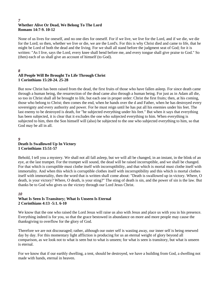#### *7* **Whether Alive Or Dead, We Belong To The Lord Romans 14:7-9. 10-12**

None of us lives for oneself, and no one dies for oneself. For if we live, we live for the Lord, and if we die, we die for the Lord; so then, whether we live or die, we are the Lord's. For this is why Christ died and came to life, that he might be Lord of both the dead and the living. For we shall all stand before the judgment seat of God; for it is written: "As I live, says the Lord, every knee shall bend before me, and every tongue shall give praise to God." So (then) each of us shall give an account of himself (to God).

#### *8*

#### **All People Will Be Brought To Life Through Christ 1 Corinthians 15:20-24. 25-28**

But now Christ has been raised from the dead, the first fruits of those who have fallen asleep. For since death came through a human being, the resurrection of the dead came also through a human being. For just as in Adam all die, so too in Christ shall all be brought to life, but each one in proper order: Christ the first fruits; then, at his coming, those who belong to Christ; then comes the end, when he hands over the d and Father, when he has destroyed every sovereignty and every authority and power. For he must reign until he has put all his enemies under his feet. The last enemy to be destroyed is death, for "he subjected everything under his feet." But when it says that everything has been subjected, it is clear that it excludes the one who subjected everything to him. When everything is subjected to him, then the Son himself will (also) be subjected to the one who subjected everything to him, so that God may be all in all.

#### *9* **Death Is Swallowed Up In Victory 1 Corinthians 15:51-57**

Behold, I tell you a mystery. We shall not all fall asleep, but we will all be changed, in an instant, in the blink of an eye, at the last trumpet. For the trumpet will sound, the dead will be raised incorruptible, and we shall be changed. For that which is corruptible must clothe itself with incorruptibility, and that which is mortal must clothe itself with immortality. And when this which is corruptible clothes itself with incorruptibility and this which is mortal clothes itself with immortality, then the word that is written shall come about: "Death is swallowed up in victory. Where, O death, is your victory? Where, O death, is your sting?" The sting of death is sin, and the power of sin is the law. But thanks be to God who gives us the victory through our Lord Jesus Christ.

#### *10* **What Is Seen Is Transitory; What Is Unseen Is Eternal 2 Corinthians 4:13 -5:1. 6-10**

We know that the one who raised the Lord Jesus will raise us also with Jesus and place us with you in his presence. Everything indeed is for you, so that the grace bestowed in abundance on more and more people may cause the thanksgiving to overflow for the glory of God.

Therefore we are not discouraged; rather, although our outer self is wasting away, our inner self is being renewed day by day. For this momentary light affliction is producing for us an eternal weight of glory beyond all comparison, as we look not to what is seen but to what is unseen; for what is seen is transitory, but what is unseen is eternal.

For we know that if our earthly dwelling, a tent, should be destroyed, we have a building from God, a dwelling not made with hands, eternal in heaven.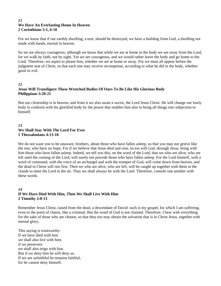#### *11* **We Have An Everlasting Home In Heaven 2 Corinthians 5:1, 6-10**

For we know that if our earthly dwelling, a tent, should be destroyed, we have a building from God, a dwelling not made with hands, eternal in heaven.

So we are always courageous, although we know that while we are at home in the body we are away from the Lord, for we walk by faith, not by sight. Yet we are courageous, and we would rather leave the body and go home to the Lord. Therefore, we aspire to please him, whether we are at home or away. For we must all appear before the judgment seat of Christ, so that each one may receive recompense, according to what he did in the body, whether good or evil.

#### *12*

#### **Jesus Will Transfigure These Wretched Bodies Of Ours To Be Like His Glorious Body Philippians 3:20-21**

But our citizenship is in heaven, and from it we also await a savior, the Lord Jesus Christ. He will change our lowly body to conform with his glorified body by the power that enables him also to bring all things into subjection to himself.

#### *13* **We Shall Stay With The Lord For Ever 1 Thessalonians 4:13-18**

We do not want you to be unaware, brothers, about those who have fallen asleep, so that you may not grieve like the rest, who have no hope. For if we believe that Jesus died and rose, so too will God, through Jesus, bring with him those who have fallen asleep. Indeed, we tell you this, on the word of the Lord, that we who are alive, who are left until the coming of the Lord, will surely not precede those who have fallen asleep. For the Lord himself, with a word of command, with the voice of an archangel and with the trumpet of God, will come down from heaven, and the dead in Christ will rise first. Then we who are alive, who are left, will be caught up together with them in the clouds to meet the Lord in the air. Thus we shall always be with the Lord. Therefore, console one another with these words.

#### *14* **If We Have Died With Him, Then We Shall Live With Him 2 Timothy 2:8-13**

Remember Jesus Christ, raised from the dead, a descendant of David: such is my gospel, for which I am suffering, even to the point of chains, like a criminal. But the word of God is not chained. Therefore, I bear with everything for the sake of those who are chosen, so that they too may obtain the salvation that is in Christ Jesus, together with eternal glory.

This saying is trustworthy: If we have died with him we shall also live with him; if we persevere we shall also reign with him. But if we deny him he will deny us. If we are unfaithful he remains faithful, for he cannot deny himself.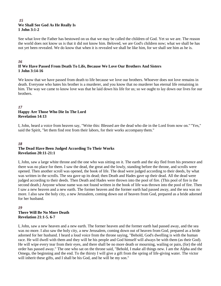#### *15* **We Shall See God As He Really Is 1 John 3:1-2**

See what love the Father has bestowed on us that we may be called the children of God. Yet so we are. The reason the world does not know us is that it did not know him. Beloved, we are God's children now; what we shall be has not yet been revealed. We do know that when it is revealed we shall be like him, for we shall see him as he is.

#### *16* **If We Have Passed From Death To Life, Because We Love Our Brothers And Sisters 1 John 3:14-16**

We know that we have passed from death to life because we love our brothers. Whoever does not love remains in death. Everyone who hates his brother is a murderer, and you know that no murderer has eternal life remaining in him. The way we came to know love was that he laid down his life for us; so we ought to lay down our lives for our brothers.

*17*

### **Happy Are Those Who Die In The Lord Revelation 14:13**

I, John, heard a voice from heaven say, "Write this: Blessed are the dead who die in the Lord from now on." "Yes," said the Spirit, "let them find rest from their labors, for their works accompany them."

#### *18* **The Dead Have Been Judged According To Their Works Revelation 20:11-21:1**

I, John, saw a large white throne and the one who was sitting on it. The earth and the sky fled from his presence and there was no place for them. I saw the dead, the great and the lowly, standing before the throne, and scrolls were opened. Then another scroll was opened, the book of life. The dead were judged according to their deeds, by what was written in the scrolls. The sea gave up its dead; then Death and Hades gave up their dead. All the dead were judged according to their deeds. Then Death and Hades were thrown into the pool of fire. (This pool of fire is the second death.) Anyone whose name was not found written in the book of life was thrown into the pool of fire. Then I saw a new heaven and a new earth. The former heaven and the former earth had passed away, and the sea was no more. I also saw the holy city, a new Jerusalem, coming down out of heaven from God, prepared as a bride adorned for her husband.

#### *19* **There Will Be No More Death Revelation 21:1-5. 6-7**

I, John, saw a new heaven and a new earth. The former heaven and the former earth had passed away, and the sea was no more. I also saw the holy city, a new Jerusalem, coming down out of heaven from God, prepared as a bride adorned for her husband. I heard a loud voice from the throne saying, "Behold, God's dwelling is with the human race. He will dwell with them and they will be his people and God himself will always be with them (as their God). He will wipe every tear from their eyes, and there shall be no more death or mourning, wailing or pain, (for) the old order has passed away." The one who sat on the throne said, "Behold, I make all things new. I am the Alpha and the Omega, the beginning and the end. To the thirsty I will give a gift from the spring of life-giving water. The victor will inherit these gifts, and I shall be his God, and he will be my son."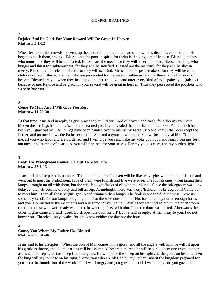#### **GOSPEL READINGS**

#### *1* **Rejoice And Be Glad, For Your Reward Will Be Great In Heaven Matthew 5:1-12**

When Jesus saw the crowds, he went up the mountain, and after he had sat down, his disciples came to him. He began to teach them, saying: "Blessed are the poor in spirit, for theirs is the kingdom of heaven. Blessed are they who mourn, for they will be comforted. Blessed are the meek, for they will inherit the land. Blessed are they who hunger and thirst for righteousness, for they will be satisfied. Blessed are the merciful, for they will be shown mercy. Blessed are the clean of heart, for they will see God. Blessed are the peacemakers, for they will be called children of God. Blessed are they who are persecuted for the sake of righteousness, for theirs is the kingdom of heaven. Blessed are you when they insult you and persecute you and utter every kind of evil against you (falsely) because of me. Rejoice and be glad, for your reward will be great in heaven. Thus they persecuted the prophets who were before you.

#### *2* **Come To Me... And I Will Give You Rest Matthew 11:25-30**

At that time Jesus said in reply, "I give praise to you, Father, Lord of heaven and earth, for although you have hidden these things from the wise and the learned you have revealed them to the childlike. Yes, Father, such has been your gracious will. All things have been handed over to me by my Father. No one knows the Son except the Father, and no one knows the Father except the Son and anyone to whom the Son wishes to reveal him. "Come to me, all you who labor and are burdened, and I will give you rest. Take my yoke upon you and learn from me, for I am meek and humble of heart; and you will find rest for your selves. For my yoke is easy, and my burden light."

#### *3* **Look The Bridegroom Comes. Go Out To Meet Him Matthew 25:1-13**

Jesus told his disciples this parable: "Then the kingdom of heaven will be like ten virgins who took their lamps and went out to meet the bridegroom. Five of them were foolish and five were wise. The foolish ones, when taking their lamps, brought no oil with them, but the wise brought flasks of oil with their lamps. Since the bridegroom was long delayed, they all became drowsy and fell asleep. At midnight, there was a cry, 'Behold, the bridegroom! Come out to meet him!' Then all those virgins got up and trimmed their lamps. The foolish ones said to the wise, 'Give us some of your oil, for our lamps are going out.' But the wise ones replied, 'No, for there may not be enough for us and you. Go instead to the merchants and buy some for yourselves.' While they went off to buy it, the bridegroom came and those who were ready went into the wedding feast with him. Then the door was locked. Afterwards the other virgins came and said, 'Lord, Lord, open the door for us!' But he said in reply, 'Amen, I say to you, I do not know you.' Therefore, stay awake, for you know neither the day nor the hour.

#### *4*

#### **Come, You Whom My Father Has Blessed Matthew 25:31-46**

Jesus said to his disciples: "When the Son of Man comes in his glory, and all the angels with him, he will sit upon his glorious throne, and all the nations will be assembled before him. And he will separate them one from another, as a shepherd separates the sheep from the goats. He will place the sheep on his right and the goats on his left. Then the king will say to those on his right, 'Come, you who are blessed by my Father. Inherit the kingdom prepared for you from the foundation of the world. For I was hungry and you gave me food, I was thirsty and you gave me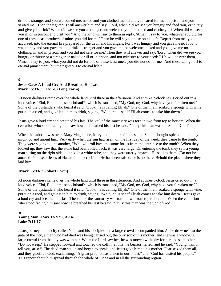drink, a stranger and you welcomed me, naked and you clothed me, ill and you cared for me, in prison and you visited me.' Then the righteous will answer him and say, 'Lord, when did we see you hungry and feed you, or thirsty and give you drink? When did we see you a stranger and welcome you, or naked and clothe you? When did we see you ill or in prison, and visit you?' And the king will say to them in reply, 'Amen, I say to you, whatever you did for one of these least brothers of mine, you did for me.' Then he will say to those on his left, 'Depart from me, you accursed, into the eternal fire prepared for the devil and his angels. For I was hungry and you gave me no food, I was thirsty and you gave me no drink, a stranger and you gave me no welcome, naked and you gave me no clothing, ill and in prison, and you did not care for me.' Then they will answer and say, 'Lord, when did we see you hungry or thirsty or a stranger or naked or ill or in prison, and not minister to your needs?' He will answer them, 'Amen, I say to you, what you did not do for one of these least ones, you did not do for me.' And these will go off to eternal punishment, but the righteous to eternal life."

#### *5* **Jesus Gave A Loud Cry And Breathed His Last Mark 15:33-39; 16:1-6 (Long Form)**

At noon darkness came over the whole land until three in the afternoon. And at three o'clock Jesus cried out in a loud voice, "Eloi, Eloi, lema sabachthani?" which is translated, "My God, my God, why have you forsaken me?" Some of the bystanders who heard it said, "Look, he is calling Elijah." One of them ran, soaked a sponge with wine, put it on a reed, and gave it to him to drink, saying, "Wait, let us see if Elijah comes to take him down."

Jesus gave a loud cry and breathed his last. The veil of the sanctuary was torn in two from top to bottom. When the centurion who stood facing him saw how he breathed his last he said, "Truly this man was the Son of God!"

When the sabbath was over, Mary Magdalene, Mary, the mother of James, and Salome bought spices so that they might go and anoint him. Very early when the sun had risen, on the first day of the week, they came to the tomb. They were saying to one another, "Who will roll back the stone for us from the entrance to the tomb?" When they looked up, they saw that the stone had been rolled back; it was very large. On entering the tomb they saw a young man sitting on the right side, clothed in a white robe, and they were utterly amazed. He said to them, "Do not be amazed! You seek Jesus of Nazareth, the crucified. He has been raised; he is not here. Behold the place where they laid him.

#### **Mark 15:33-39 (Short Form)**

At noon darkness came over the whole land until three in the afternoon. And at three o'clock Jesus cried out in a loud voice, "Eloi, Eloi, lema sabachthani?" which is translated, "My God, my God, why have you forsaken me?" Some of the bystanders who heard it said, "Look, he is calling Elijah." One of them ran, soaked a sponge with wine, put it on a reed, and gave it to him to drink, saying, "Wait, let us see if Elijah comes to take him down." Jesus gave a loud cry and breathed his last. The veil of the sanctuary was torn in two from top to bottom. When the centurion who stood facing him saw how he breathed his last he said, "Truly this man was the Son of God!"

#### *6* **Young Man, I Say To You, Arise Luke 7:11-17**

Jesus journeyed to a city called Nain, and his disciples and a large crowd accompanied him. As he drew near to the gate of the city, a man who had died was being carried out, the only son of his mother, and she was a widow. A large crowd from the city was with her. When the Lord saw her, he was moved with pity for her and said to her, "Do not weep." He stepped forward and touched the coffin; at this the bearers halted, and he said, "Young man, I tell you, arise!" The dead man sat up and began to speak, and Jesus gave him to his mother. Fear seized them all, and they glorified God, exclaiming, "A great prophet has arisen in our midst," and "God has visited his people." This report about him spread through the whole of Judea and in all the surrounding region.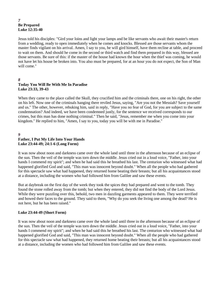#### *7* **Be Prepared Luke 12:35-40**

Jesus told his disciples: "Gird your loins and light your lamps and be like servants who await their master's return from a wedding, ready to open immediately when he comes and knocks. Blessed are those servants whom the master finds vigilant on his arrival. Amen, I say to you, he will gird himself, have them recline at table, and proceed to wait on them. And should he come in the second or third watch and find them prepared in this way, blessed are those servants. Be sure of this: if the master of the house had known the hour when the thief was coming, he would not have let his house be broken into. You also must be prepared, for at an hour you do not expect, the Son of Man will come."

#### *8* **Today You Will Be With Me In Paradise Luke 23:33, 39-43**

When they came to the place called the Skull, they crucified him and the criminals there, one on his right, the other on his left. Now one of the criminals hanging there reviled Jesus, saying, "Are you not the Messiah? Save yourself and us." The other, however, rebuking him, said in reply, "Have you no fear of God, for you are subject to the same condemnation? And indeed, we have been condemned justly, for the sentence we received corresponds to our crimes, but this man has done nothing criminal." Then he said, "Jesus, remember me when you come into your kingdom." He replied to him, "Amen, I say to you, today you will be with me in Paradise."

#### *9* **Father, I Put My Life Into Your Hands Luke 23:44-49; 24:1-6 (Long Form)**

It was now about noon and darkness came over the whole land until three in the afternoon because of an eclipse of the sun. Then the veil of the temple was torn down the middle. Jesus cried out in a loud voice, "Father, into your hands I commend my spirit"; and when he had said this he breathed his last. The centurion who witnessed what had happened glorified God and said, "This man was innocent beyond doubt." When all the people who had gathered for this spectacle saw what had happened, they returned home beating their breasts; but all his acquaintances stood at a distance, including the women who had followed him from Galilee and saw these events.

But at daybreak on the first day of the week they took the spices they had prepared and went to the tomb. They found the stone rolled away from the tomb; but when they entered, they did not find the body of the Lord Jesus. While they were puzzling over this, behold, two men in dazzling garments appeared to them. They were terrified and bowed their faces to the ground. They said to them, "Why do you seek the living one among the dead? He is not here, but he has been raised."

#### **Luke 23:44-49 (Short Form)**

It was now about noon and darkness came over the whole land until three in the afternoon because of an eclipse of the sun. Then the veil of the temple was torn down the middle. Jesus cried out in a loud voice, "Father, into your hands I commend my spirit"; and when he had said this he breathed his last. The centurion who witnessed what had happened glorified God and said, "This man was innocent beyond doubt." When all the people who had gathered for this spectacle saw what had happened, they returned home beating their breasts; but all his acquaintances stood at a distance, including the women who had followed him from Galilee and saw these events.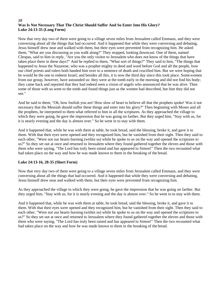#### *10* **Was Is Not Necessary That The Christ Should Suffer And So Enter Into His Glory? Luke 24:13-35 (Long Form)**

Now that very day two of them were going to a village seven miles from Jerusalem called Emmaus, and they were conversing about all the things that had occurred. And it happened that while they were conversing and debating, Jesus himself drew near and walked with them, but their eyes were prevented from recognizing him. He asked them, "What are you discussing as you walk along?" They stopped, looking downcast. One of them, named Cleopas, said to him in reply, "Are you the only visitor to Jerusalem who does not know of the things that have taken place there in these days?" And he replied to them, "What sort of things?" They said to him, "The things that happened to Jesus the Nazarene, who was a prophet mighty in deed and word before God and all the people, how our chief priests and rulers both handed him over to a sentence of death and crucified him. But we were hoping that he would be the one to redeem Israel; and besides all this, it is now the third day since this took place. Somewomen from our group, however, have astounded us: they were at the tomb early in the morning and did not find his body; they came back and reported that they had indeed seen a vision of angels who announced that he was alive. Then some of those with us went to the tomb and found things just as the women had described, but him they did not see."

And he said to them, "Oh, how foolish you are! How slow of heart to believe all that the prophets spoke! Was it not necessary that the Messiah should suffer these things and enter into his glory?" Then beginning with Moses and all the prophets, he interpreted to them what referred to him in all the scriptures. As they approached the village to which they were going, he gave the impression that he was going on farther. But they urged him, "Stay with us, for it is nearly evening and the day is almost over." So he went in to stay with them.

And it happened that, while he was with them at table, he took bread, said the blessing, broke it, and gave it to them. With that their eyes were opened and they recognized him, but he vanished from their sight. Then they said to each other, "Were not our hearts burning (within us) while he spoke to us on the way and opened the scriptures to us?" So they set out at once and returned to Jerusalem where they found gathered together the eleven and those with them who were saying, "The Lord has truly been raised and has appeared to Simon!" Then the two recounted what had taken place on the way and how he was made known to them in the breaking of the bread.

#### **Luke 24:13-16, 28-35 (Short Form)**

Now that very day two of them were going to a village seven miles from Jerusalem called Emmaus, and they were conversing about all the things that had occurred. And it happened that while they were conversing and debating, Jesus himself drew near and walked with them, but their eyes were prevented from recognizing him.

As they approached the village to which they were going, he gave the impression that he was going on farther. But they urged him, "Stay with us, for it is nearly evening and the day is almost over." So he went in to stay with them.

And it happened that, while he was with them at table, he took bread, said the blessing, broke it, and gave it to them. With that their eyes were opened and they recognized him, but he vanished from their sight. Then they said to each other, "Were not our hearts burning (within us) while he spoke to us on the way and opened the scriptures to us?" So they set out at once and returned to Jerusalem where they found gathered together the eleven and those with them who were saying, "The Lord has truly been raised and has appeared to Simon!" Then the two recounted what had taken place on the way and how he was made known to them in the breaking of the bread.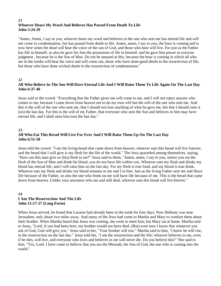#### *11* **Whoever Hears My Word And Believes Has Passed From Death To Life John 5:24-29**

"Amen, Amen, I say to you, whoever hears my word and believes in the one who sent me has eternal life and will not come to condemnation, but has passed from death to life. Amen, amen, I say to you, the hour is coming and is now here when the dead will hear the voice of the son of God, and those who hear will live. For just as the Father has life in himself, so also he gave his Son the possession of life in himself. and he gave him power to exercise judgment , because he is the Son of Man. Do not be amazed at this, because the hour is coming in which all who are in the tombs will hear his voice and will come out, those who have done good deeds to the resurrection of life, but those who have done wicked deeds to the resurrection of condemnation."

#### *12*

#### **All Who Believe In The Son Will Have Eternal Life And I Will Raise Them To Life Again On The Last Day John 6:37-40**

Jesus said to the crowd: "Everything that the Father gives me will come to me, and I will not reject anyone who comes to me, because I came down from heaven not to do my own will but the will of the one who sent me. And this is the will of the one who sent me, that I should not lose anything of what he gave me, but that I should raise it (on) the last day. For this is the will of my Father, that everyone who sees the Son and believes in him may have eternal life, and I shall raise him (on) the last day."

#### *13*

#### **All Who Eat This Bread Will Live For Ever And I Will Raise Them Up On The Last Day John 6:51-58**

Jesus told the crowd: "I am the living bread that came down from heaven; whoever eats this bread will live forever; and the bread that I will give is my flesh for the life of the world." The Jews quarreled among themselves, saying, "How can this man give us (his) flesh to eat?" Jesus said to them, "Amen, amen, I say to you, unless you eat the flesh of the Son of Man and drink his blood, you do not have life within you. Whoever eats my flesh and drinks my blood has eternal life, and I will raise him on the last day. For my flesh is true food, and my blood is true drink. Whoever eats my flesh and drinks my blood remains in me and I in him. Just as the living Father sent me and Ihave life because of the Father, so also the one who feeds on me will have life because of me. This is the bread that came down from heaven. Unlike your ancestors who ate and still died, whoever eats this bread will live forever."

#### *14* **I Am The Resurrection And The Life John 11:17-27 (Long Form)**

When Jesus arrived, he found that Lazarus had already been in the tomb for four days. Now Bethany was near Jerusalem, only about two miles away. And many of the Jews had come to Martha and Mary to comfort them about their brother. When Martha heard that Jesus was coming, she went to meet him; but Mary sat at home. Martha said to Jesus, "Lord, if you had been here, my brother would not have died. (But) even now I know that whatever you ask of God, God will give you." Jesus said to her, "Your brother will rise." Martha said to him, "I know he will rise, in the resurrection on the last day." Jesus told her, "I am the resurrection and the life; whoever believes in me, even if he dies, will live, and everyone who lives and believes in me will never die. Do you believe this? "She said to him, "Yes, Lord. I have come to believe that you are the Messiah, the Son of God, the one who is coming into the world."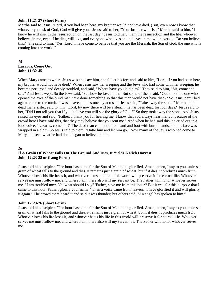#### **John 11:21-27 (Short Form)**

Martha said to Jesus, "Lord, if you had been here, my brother would not have died. (But) even now I know that whatever you ask of God, God will give you." Jesus said to her, "Your brother will rise." Martha said to him, "I know he will rise, in the resurrection on the last day." Jesus told her, "I am the resurrection and the life; whoever believes in me, even if he dies, will live, and everyone who lives and believes in me will never die. Do you believe this?" She said to him, "Yes, Lord. I have come to believe that you are the Messiah, the Son of God, the one who is coming into the world."

#### *15*

#### **Lazarus, Come Out John 11:32-45**

When Mary came to where Jesus was and saw him, she fell at his feet and said to him, "Lord, if you had been here, my brother would not have died." When Jesus saw her weeping and the Jews who had come with her weeping, he became perturbed and deeply troubled, and said, "Where have you laid him?" They said to him, "Sir, come and see." And Jesus wept. So the Jews said, "See how he loved him." But some of them said, "Could not the one who opened the eyes of the blind man have done something so that this man would not have died?" So Jesus, perturbed again, came to the tomb. It was a cave, and a stone lay across it. Jesus said, "Take away the stone." Martha, the dead man's sister, said to him, "Lord, by now there will be a stench; he has been dead for four days." Jesus said to her, "Did I not tell you that if you believe you will see the glory of God?" So they took away the stone. And Jesus raised his eyes and said, "Father, I thank you for hearing me. I know that you always hear me; but because of the crowd here I have said this, that they may believe that you sent me." And when he had said this, he cried out in a loud voice, "Lazarus, come out!" The dead man came out, tied hand and foot with burial bands, and his face was wrapped in a cloth. So Jesus said to them, "Untie him and let him go." Now many of the Jews who had come to Mary and seen what he had done began to believe in him.

#### *16*

#### **If A Grain Of Wheat Falls On The Ground And Dies, It Yields A Rich Harvest John 12:23-28 or (Long Form)**

Jesus told his disciples: "The hour has come for the Son of Man to be glorified. Amen, amen, I say to you, unless a grain of wheat falls to the ground and dies, it remains just a grain of wheat; but if it dies, it produces much fruit. Whoever loves his life loses it, and whoever hates his life in this world will preserve it for eternal life. Whoever serves me must follow me, and where I am, there also will my servant be. The Father will honor whoever serves me. "I am troubled now. Yet what should I say? 'Father, save me from this hour'? But it was for this purpose that I came to this hour. Father, glorify your name." Then a voice came from heaven, "I have glorified it and will glorify it again." The crowd there heard it and said it was thunder; but others said, "An angel has spoken to him."

#### **John 12:23-26 (Short Form)**

Jesus told his disciples: "The hour has come for the Son of Man to be glorified. Amen, amen, I say to you, unless a grain of wheat falls to the ground and dies, it remains just a grain of wheat; but if it dies, it produces much fruit. Whoever loves his life loses it, and whoever hates his life in this world will preserve it for eternal life. Whoever serves me must follow me, and where I am, there also will my servant be. The Father will honor whoever serves me.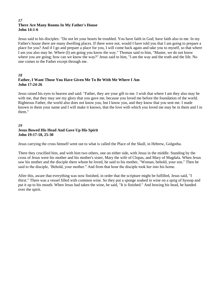#### *17* **There Are Many Rooms In My Father's House John 14:1-6**

Jesus said to his disciples: "Do not let your hearts be troubled. You have faith in God; have faith also in me. In my Father's house there are many dwelling places. If there were not, would I have told you that I am going to prepare a place for you? And if I go and prepare a place for you, I will come back again and take you to myself, so that where I am you also may be. Where (I) am going you know the way." Thomas said to him, "Master, we do not know where you are going; how can we know the way?" Jesus said to him, "I am the way and the truth and the life. No one comes to the Father except through me.

#### *18* **Father, I Want Those You Have Given Me To Be With Me Where I Am John 17:24-26**

Jesus raised his eyes to heaven and said: "Father, they are your gift to me. I wish that where I am they also may be with me, that they may see my glory that you gave me, because you loved me before the foundation of the world. Righteous Father, the world also does not know you, but I know you, and they know that you sent me. I made known to them your name and I will make it known, that the love with which you loved me may be in them and I in them."

#### *19* **Jesus Bowed His Head And Gave Up His Spirit John 19:17-18, 25-30**

Jesus carrying the cross himself went out to what is called the Place of the Skull, in Hebrew, Golgotha.

There they crucified him, and with him two others, one on either side, with Jesus in the middle. Standing by the cross of Jesus were his mother and his mother's sister, Mary the wife of Clopas, and Mary of Magdala. When Jesus saw his mother and the disciple there whom he loved, he said to his mother, "Woman, behold, your son." Then he said to the disciple, 'Behold, your mother." And from that hour the disciple took her into his home.

After this, aware that everything was now finished, in order that the scripture might be fulfilled, Jesus said, "I thirst." There was a vessel filled with common wine. So they put a sponge soaked in wine on a sprig of hyssop and put it up to his mouth. When Jesus had taken the wine, he said, "It is finished." And bowing his head, he handed over the spirit.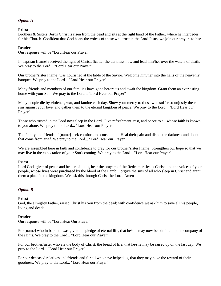#### *Option A*

#### **Priest**

Brothers & Sisters, Jesus Christ is risen from the dead and sits at the right hand of the Father, where he intercedes for his Church. Confident that God hears the voices of those who trust in the Lord Jesus, we join our prayers to his:

#### **Reader**

Our response will be "Lord Hear our Prayer"

In baptism [name] received the light of Christ. Scatter the darkness now and lead him/her over the waters of death. We pray to the Lord... "Lord Hear our Prayer"

Our brother/sister [name] was nourished at the table of the Savior. Welcome him/her into the halls of the heavenly banquet. We pray to the Lord... "Lord Hear our Prayer"

Many friends and members of our families have gone before us and await the kingdom. Grant them an everlasting home with your Son. We pray to the Lord... "Lord Hear our Prayer"

Many people die by violence, war, and famine each day. Show your mercy to those who suffer so unjustly these sins against your love, and gather them to the eternal kingdom of peace. We pray to the Lord... "Lord Hear our Prayer"

Those who trusted in the Lord now sleep in the Lord. Give refreshment, rest, and peace to all whose faith is known to you alone. We pray to the Lord... "Lord Hear our Prayer"

The family and friends of [name] seek comfort and consolation. Heal their pain and dispel the darkness and doubt that come from grief. We pray to the Lord... "Lord Hear our Prayer"

We are assembled here in faith and confidence to pray for our brother/sister [name] Strengthen our hope so that we may live in the expectation of your Son's coming. We pray to the Lord... "Lord Hear our Prayer"

#### **Priest**

Lord God, giver of peace and healer of souls, hear the prayers of the Redeemer, Jesus Christ, and the voices of your people, whose lives were purchased by the blood of the Lamb. Forgive the sins of all who sleep in Christ and grant them a place in the kingdom. We ask this through Christ the Lord. Amen

#### *Option B*

#### **Priest**

God, the almighty Father, raised Christ his Son from the dead; with confidence we ask him to save all his people, living and dead:

#### **Reader**

Our response will be "Lord Hear Our Prayer"

For [name] who in baptism was given the pledge of eternal life, that he/she may now be admitted to the company of the saints. We pray to the Lord... "Lord Hear our Prayer"

For our brother/sister who ate the body of Christ, the bread of life, that he/she may be raised up on the last day. We pray to the Lord... "Lord Hear our Prayer"

For our deceased relatives and friends and for all who have helped us, that they may have the reward of their goodness. We pray to the Lord... "Lord Hear our Prayer"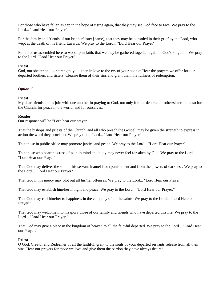For those who have fallen asleep in the hope of rising again, that they may see God face to face. We pray to the Lord... "Lord Hear our Prayer"

For the family and friends of our brother/sister [name], that they may be consoled in their grief by the Lord, who wept at the death of his friend Lazarus. We pray to the Lord... "Lord Hear our Prayer"

For all of us assembled here to worship in faith, that we may be gathered together again in God's kingdom. We pray to the Lord.."Lord Hear our Prayer"

#### **Priest**

God, our shelter and our strength, you listen in love to the cry of your people: Hear the prayers we offer for our departed brothers and sisters. Cleanse them of their sins and grant them the fullness of redemption.

#### *Option C*

#### **Priest**

My dear friends, let us join with one another in praying to God, not only for our departed brother/sister, but also for the Church, for peace in the world, and for ourselves.

#### **Reader**

Our response will be "Lord hear our prayer."

That the bishops and priests of the Church, and all who preach the Gospel, may be given the strength to express in action the word they proclaim. We pray to the Lord... "Lord Hear our Prayer"

That those in public office may promote justice and peace. We pray to the Lord... "Lord Hear our Prayer"

That those who bear the cross of pain in mind and body may never feel forsaken by God. We pray to the Lord... "Lord Hear our Prayer"

That God may deliver the soul of his servant [name] from punishment and from the powers of darkness. We pray to the Lord... "Lord Hear our Prayer"

That God in his mercy may blot out all his/her offenses. We pray to the Lord... "Lord Hear our Prayer"

That God may establish him/her in light and peace. We pray to the Lord... "Lord Hear our Prayer."

That God may call him/her to happiness in the company of all the saints. We pray to the Lord... "Lord Hear our Prayer."

That God may welcome into his glory those of our family and friends who have departed this life. We pray to the Lord... "Lord Hear our Prayer."

That God may give a place in the kingdom of heaven to all the faithful departed. We pray to the Lord... "Lord Hear our Prayer."

#### **Priest**

O God, Creator and Redeemer of all the faithful, grant to the souls of your departed servants release from all their sins. Hear our prayers for those we love and give them the pardon they have always desired.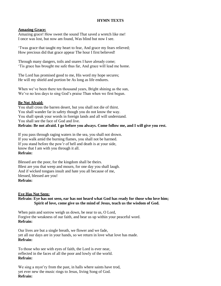#### **HYMN TEXTS**

#### **Amazing Grace:**

Amazing grace! How sweet the sound That saved a wretch like me! I once was lost, but now am found, Was blind but now I see.

'Twas grace that taught my heart to fear, And grace my fears relieved; How precious did that grace appear The hour I first believed!

Through many dangers, toils and snares I have already come; 'Tis grace has brought me safe thus far, And grace will lead me home.

The Lord has promised good to me, His word my hope secures; He will my shield and portion be As long as life endures.

When we've been there ten thousand years, Bright shining as the sun, We've no less days to sing God's praise Than when we first begun.

#### **Be Not Afraid:**

You shall cross the barren desert, but you shall not die of thirst. You shall wander far in safety though you do not know the way. You shall speak your words in foreign lands and all will understand. You shall see the face of God and live.

#### **Refrain: Be not afraid. I go before you always. Come follow me, and I will give you rest.**

If you pass through raging waters in the sea, you shall not drown. If you walk amid the burning flames, you shall not be harmed. If you stand before the pow'r of hell and death is at your side, know that I am with you through it all. **Refrain:**

Blessed are the poor, for the kingdom shall be theirs. Blest are you that weep and mourn, for one day you shall laugh. And if wicked tongues insult and hate you all because of me, blessed, blessed are you! **Refrain:**

#### **Eye Has Not Seen:**

#### **Refrain: Eye has not seen, ear has not heard what God has ready for those who love him; Spirit of love, come give us the mind of Jesus, teach us the wisdom of God.**

When pain and sorrow weigh us down, be near to us, O Lord, Forgive the weakness of our faith, and bear us up within your peaceful word. **Refrain:**

Our lives are but a single breath, we flower and we fade, yet all our days are in your hands, so we return in love what love has made. **Refrain:**

To those who see with eyes of faith, the Lord is ever near, reflected in the faces of all the poor and lowly of the world. **Refrain:**

We sing a myst'ry from the past, in halls where saints have trod, yet ever new the music rings to Jesus, living Song of God. **Refrain:**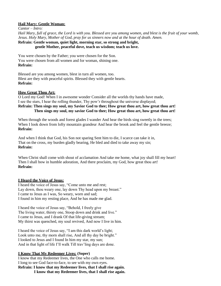#### **Hail Mary: Gentle Woman:**

*Cantor – Intro:*

*Hail Mary, full of grace, the Lord is with you. Blessed are you among women, and blest is the fruit of your womb, Jesus. Holy Mary, Mother of God, pray for us sinners now and at the hour of death. Amen.*

#### **Refrain: Gentle woman, quiet light, morning star, so strong and bright, gentle Mother, peaceful dove, teach us wisdom; teach us love.**

You were chosen by the Father; you were chosen for the Son. You were chosen from all women and for woman, shining one. **Refrain:**

Blessed are you among women, blest in turn all women, too. Blest are they with peaceful spirits. Blessed they with gentle hearts. **Refrain:**

#### **How Great Thou Art:**

O Lord my God! When I in awesome wonder Consider all the worlds thy hands have made, I see the stars, I hear the rolling thunder, Thy pow'r throughout the universe displayed;

**Refrain: Then sings my soul, my Savior God to thee; How great thou art, how great thou art! Then sings my soul, my savior God to thee; How great thou art, how great thou art!**

When through the woods and forest glades I wander And hear the birds sing sweetly in the trees; When I look down from lofty mountain grandeur And hear the brook and feel the gentle breeze; **Refrain:**

And when I think that God, his Son not sparing Sent him to die, I scarce can take it in, That on the cross, my burden gladly bearing, He bled and died to take away my sin; **Refrain:**

When Christ shall come with shout of acclamation And take me home, what joy shall fill my heart! Then I shall bow in humble adoration, And there proclaim, my God, how great thou art! **Refrain:**

#### **I Heard the Voice of Jesus:**

I heard the voice of Jesus say, "Come unto me and rest; Lay down, thou weary one, lay down Thy head upon my breast." I came to Jesus as I was, So weary, worn and sad; I found in him my resting place, And he has made me glad.

I heard the voice of Jesus say, "Behold, I freely give The living water, thirsty one, Stoop down and drink and live." I came to Jesus, and I drank Of that life-giving stream; My thirst was quenched, my soul revived, And now I live in him.

I heard the voice of Jesus say, "I am this dark world's light; Look unto me, thy morn shall rise, And all thy day be bright." I looked to Jesus and I found In him my star, my sun; And in that light of life I'll walk Till trav'ling days are done.

#### **I Know That My Redeemer Lives: (Soper)**

I know that my Redeemer lives, the One who calls me home. I long to see God face-to-face, to see with my own eyes. **Refrain: I know that my Redeemer lives, that I shall rise again. I know that my Redeemer lives, that I shall rise again.**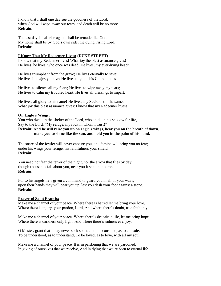I know that I shall one day see the goodness of the Lord, when God will wipe away our tears, and death will be no more. **Refrain:**

The last day I shall rise again, shall be remade like God. My home shall be by God's own side, the dying, rising Lord. **Refrain:**

#### **I Know That My Redeemer Lives: (DUKE STREET)**

I know that my Redeemer lives! What joy the blest assurance gives! He lives, he lives, who once was dead; He lives, my ever-living head!

He lives triumphant from the grave; He lives eternally to save; He lives in majesty above: He lives to guide his Church in love.

He lives to silence all my fears; He lives to wipe away my tears; He lives to calm my troubled heart; He lives all blessings to impart.

He lives, all glory to his name! He lives, my Savior, still the same; What joy this blest assurance gives: I know that my Redeemer lives!

#### **On Eagle's Wings:**

You who dwell in the shelter of the Lord, who abide in his shadow for life, Say to the Lord: "My refuge, my rock in whom I trust!"

#### **Refrain: And he will raise you up on eagle's wings, bear you on the breath of dawn, make you to shine like the sun, and hold you in the palm of his hand.**

The snare of the fowler will never capture you, and famine will bring you no fear; under his wings your refuge, his faithfulness your shield. **Refrain:**

You need not fear the terror of the night, nor the arrow that flies by day; though thousands fall about you, near you it shall not come. **Refrain:**

For to his angels he's given a command to guard you in all of your ways; upon their hands they will bear you up, lest you dash your foot against a stone. **Refrain:**

#### **Prayer of Saint Francis:**

Make me a channel of your peace. Where there is hatred let me bring your love. Where there is injury, your pardon, Lord, And where there's doubt, true faith in you.

Make me a channel of your peace. Where there's despair in life, let me bring hope. Where there is darkness only light, And where there's sadness ever joy.

O Master, grant that I may never seek so much to be consoled, as to console, To be understood, as to understand, To be loved, as to love, with all my soul.

Make me a channel of your peace. It is in pardoning that we are pardoned, In giving of ourselves that we receive, And in dying that we're born to eternal life.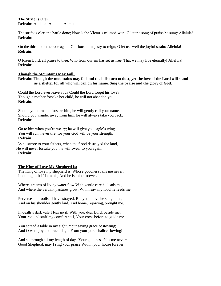#### **The Strife Is O'er:**

**Refrain:** Alleluia! Alleluia! Alleluia!

The strife is o'er, the battle done; Now is the Victor's triumph won; O let the song of praise be sung: Alleluia! **Refrain:**

On the third morn he rose again, Glorious in majesty to reign; O let us swell the joyful strain: Alleluia! **Refrain:**

O Risen Lord, all praise to thee, Who from our sin has set us free, That we may live eternally! Alleluia! **Refrain:**

#### **Though the Mountains May Fall:**

#### **Refrain: Though the mountains may fall and the hills turn to dust, yet the love of the Lord will stand as a shelter for all who will call on his name. Sing the praise and the glory of God.**

Could the Lord ever leave you? Could the Lord forget his love? Though a mother forsake her child, he will not abandon you. **Refrain:**

Should you turn and forsake him, he will gently call your name. Should you wander away from him, he will always take you back. **Refrain:**

Go to him when you're weary; he will give you eagle's wings. You will run, never tire, for your God will be your strength. **Refrain:**

As he swore to your fathers, when the flood destroyed the land, He will never forsake you; he will swear to you again. **Refrain:**

#### **The King of Love My Shepherd Is:**

The King of love my shepherd is, Whose goodness fails me never; I nothing lack if I am his, And he is mine forever.

Where streams of living water flow With gentle care he leads me, And where the verdant pastures grow, With heav'nly food he feeds me.

Perverse and foolish I have strayed, But yet in love he sought me, And on his shoulder gently laid, And home, rejoicing, brought me.

In death's dark vale I fear no ill With you, dear Lord, beside me; Your rod and staff my comfort still, Your cross before to guide me.

You spread a table in my sight, Your saving grace bestowing; And O what joy and true delight From your pure chalice flowing!

And so through all my length of days Your goodness fails me never; Good Shepherd, may I sing your praise Within your house forever.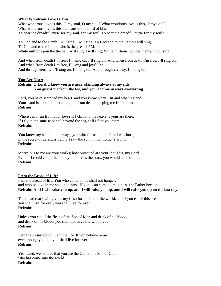#### **What Wondrous Love Is This:**

What wondrous love is this, O my soul, O my soul? What wondrous love is this, O my soul? What wondrous love is this that caused the Lord of bliss To bear the dreadful curse for my soul, for my soul, To bear the dreadful curse for my soul?

To God and to the Lamb I will sing, I will sing; To God and to the Lamb I will sing; To God and to the Lamb, who is the great I AM, While millions join the theme, I will sing, I will sing; While millions join the theme, I will sing.

And when from death I'm free, I'll sing on, I'll sing on; And when from death I'm free, I'll sing on; And when from death I'm free, I'll sing and joyful be, And through eternity, I'll sing on, I'll sing on! And through eternity, I'll sing on.

#### **You Are Near:**

#### **Refrain: O Lord, I know you are near, standing always at my side. You guard me from the foe, and you lead me in ways everlasting.**

Lord, you have searched my heart, and you know when I sit and when I stand. Your hand is upon me protecting me from death, keeping me from harm. **Refrain:**

Where can I run from your love? If I climb to the heavens your are there; If I fly to the sunrise or sail beyond the sea, still I find you there. **Refrain:**

You know my heart and its ways, you who formed me before I was born, in the secret of darkness before I saw the sun, in my mother's womb. **Refrain:**

Marvelous to me are your works; how profound are your thoughts, my Lord. Even if I could count them, they number as the stars, you would still be there. **Refrain:**

#### **I Am the Bread of Life:**

I am the Bread of life. You who come to me shall not hunger; and who believe in me shall not thirst. No one can come to me unless the Father beckons. **Refrain: And I will raise you up, and I will raise you up, and I will raise you up on the last day.**

The bread that I will give is my flesh for the life of the world, and if you eat of this bread, you shall live for ever, you shall live for ever. **Refrain:**

Unless you eat of the flesh of the Son of Man and drink of his blood, and drink of his blood, you shall not have life within you. **Refrain:**

I am the Resurrection, I am the life. If you believe in me, even though you die, you shall live for ever. **Refrain:**

Yes, Lord, we believe that you are the Christ, the Son of God, who has come into the world. **Refrain:**